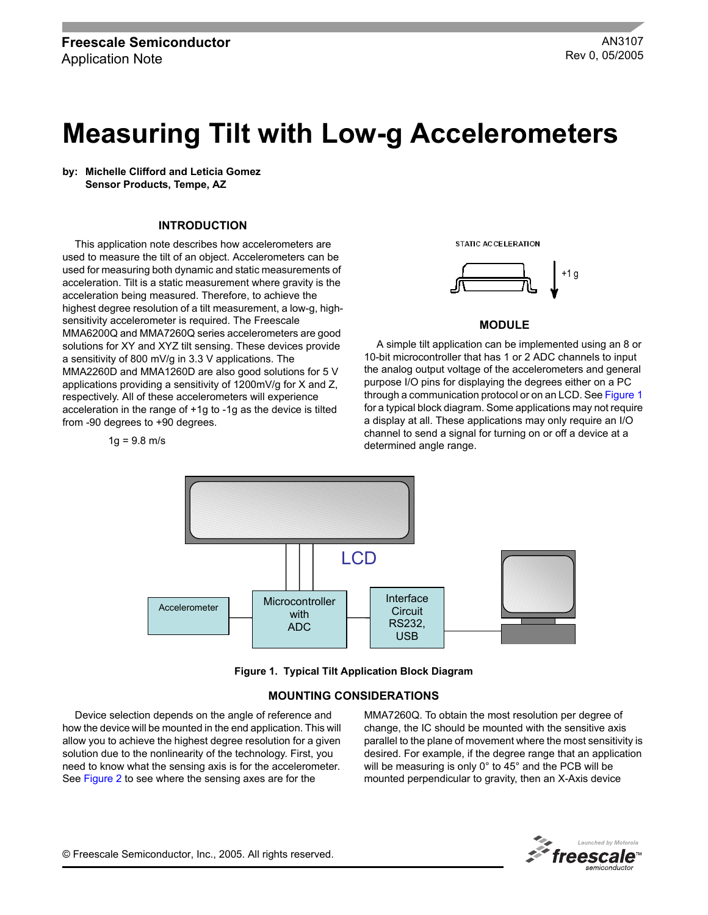# **Measuring Tilt with Low-g Accelerometers**

**by: Michelle Clifford and Leticia Gomez Sensor Products, Tempe, AZ**

#### **INTRODUCTION**

This application note describes how accelerometers are used to measure the tilt of an object. Accelerometers can be used for measuring both dynamic and static measurements of acceleration. Tilt is a static measurement where gravity is the acceleration being measured. Therefore, to achieve the highest degree resolution of a tilt measurement, a low-g, highsensitivity accelerometer is required. The Freescale MMA6200Q and MMA7260Q series accelerometers are good solutions for XY and XYZ tilt sensing. These devices provide a sensitivity of 800 mV/g in 3.3 V applications. The MMA2260D and MMA1260D are also good solutions for 5 V applications providing a sensitivity of 1200mV/g for X and Z, respectively. All of these accelerometers will experience acceleration in the range of +1g to -1g as the device is tilted from -90 degrees to +90 degrees.

 $1g = 9.8$  m/s





## **MODULE**

A simple tilt application can be implemented using an 8 or 10-bit microcontroller that has 1 or 2 ADC channels to input the analog output voltage of the accelerometers and general purpose I/O pins for displaying the degrees either on a PC through a communication protocol or on an LCD. See [Figure](#page-0-0) 1 for a typical block diagram. Some applications may not require a display at all. These applications may only require an I/O channel to send a signal for turning on or off a device at a determined angle range.



**Figure 1. Typical Tilt Application Block Diagram**

#### **MOUNTING CONSIDERATIONS**

<span id="page-0-0"></span>Device selection depends on the angle of reference and how the device will be mounted in the end application. This will allow you to achieve the highest degree resolution for a given solution due to the nonlinearity of the technology. First, you need to know what the sensing axis is for the accelerometer. See [Figure](#page-1-0) 2 to see where the sensing axes are for the

MMA7260Q. To obtain the most resolution per degree of change, the IC should be mounted with the sensitive axis parallel to the plane of movement where the most sensitivity is desired. For example, if the degree range that an application will be measuring is only 0° to 45° and the PCB will be mounted perpendicular to gravity, then an X-Axis device

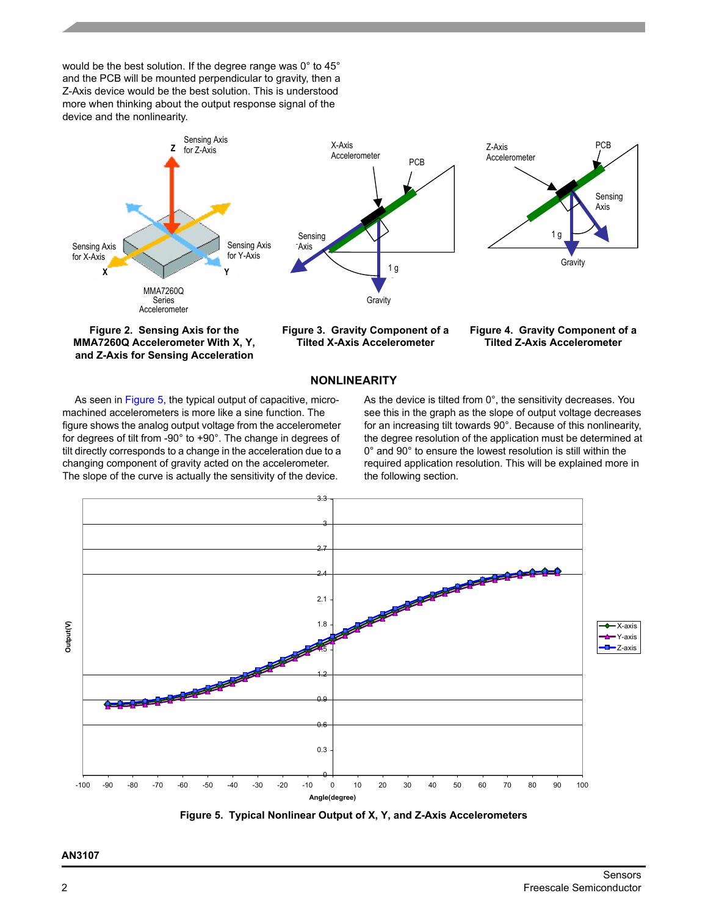would be the best solution. If the degree range was 0° to 45° and the PCB will be mounted perpendicular to gravity, then a Z-Axis device would be the best solution. This is understood more when thinking about the output response signal of the device and the nonlinearity.



<span id="page-1-0"></span>**MMA7260Q Accelerometer With X, Y, and Z-Axis for Sensing Acceleration**

**Tilted X-Axis Accelerometer**

**Tilted Z-Axis Accelerometer**

## **NONLINEARITY**

As seen in [Figure](#page-1-1) 5, the typical output of capacitive, micromachined accelerometers is more like a sine function. The figure shows the analog output voltage from the accelerometer for degrees of tilt from -90° to +90°. The change in degrees of tilt directly corresponds to a change in the acceleration due to a changing component of gravity acted on the accelerometer. The slope of the curve is actually the sensitivity of the device.

As the device is tilted from 0°, the sensitivity decreases. You see this in the graph as the slope of output voltage decreases for an increasing tilt towards 90°. Because of this nonlinearity, the degree resolution of the application must be determined at 0° and 90° to ensure the lowest resolution is still within the required application resolution. This will be explained more in the following section.



<span id="page-1-1"></span>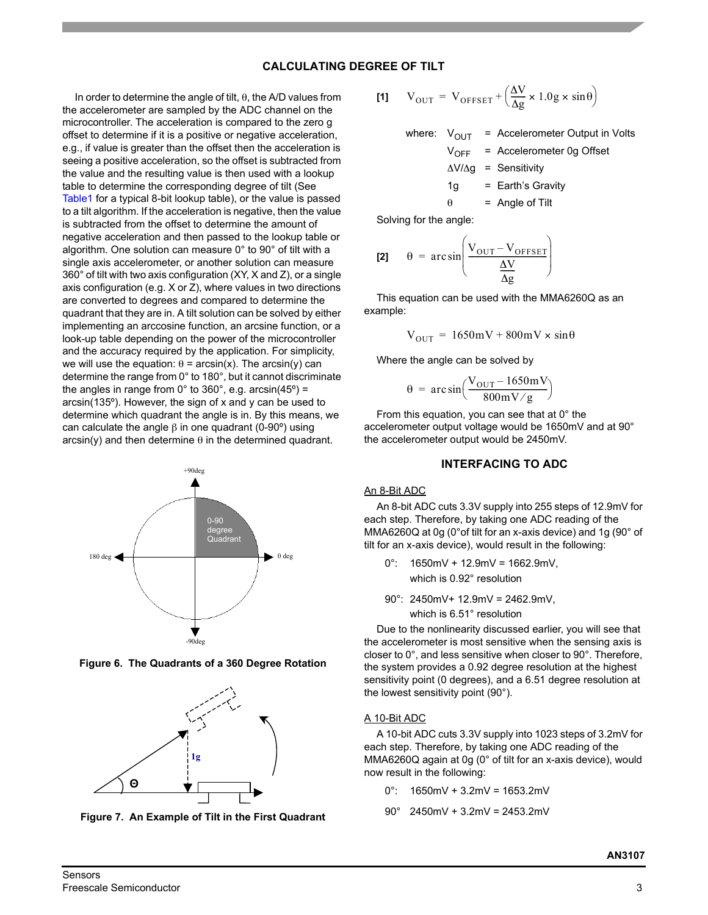# **CALCULATING DEGREE OF TILT**

In order to determine the angle of tilt, θ, the A/D values from the accelerometer are sampled by the ADC channel on the microcontroller. The acceleration is compared to the zero g offset to determine if it is a positive or negative acceleration, e.g., if value is greater than the offset then the acceleration is seeing a positive acceleration, so the offset is subtracted from the value and the resulting value is then used with a lookup table to determine the corresponding degree of tilt (See [Table1](#page-4-0) for a typical 8-bit lookup table), or the value is passed to a tilt algorithm. If the acceleration is negative, then the value is subtracted from the offset to determine the amount of negative acceleration and then passed to the lookup table or algorithm. One solution can measure 0° to 90° of tilt with a single axis accelerometer, or another solution can measure 360° of tilt with two axis configuration (XY, X and Z), or a single axis configuration (e.g. X or Z), where values in two directions are converted to degrees and compared to determine the quadrant that they are in. A tilt solution can be solved by either implementing an arccosine function, an arcsine function, or a look-up table depending on the power of the microcontroller and the accuracy required by the application. For simplicity, we will use the equation:  $θ = arcsin(x)$ . The arcsin(y) can determine the range from 0° to 180°, but it cannot discriminate the angles in range from  $0^\circ$  to 360°, e.g. arcsin(45°) = arcsin(135º). However, the sign of x and y can be used to determine which quadrant the angle is in. By this means, we can calculate the angle  $β$  in one quadrant  $(0-90°)$  using  $arcsin(y)$  and then determine  $\theta$  in the determined quadrant.



**Figure 6. The Quadrants of a 360 Degree Rotation**



**Figure 7. An Example of Tilt in the First Quadrant**

[1] 
$$
V_{\text{OUT}} = V_{\text{OFFSET}} + \left(\frac{\Delta V}{\Delta g} \times 1.0 g \times \sin \theta\right)
$$

where:  $V_{\text{OUT}}$  = Accelerometer Output in Volts  $V_{\text{OFF}}$  = Accelerometer 0g Offset ∆V/∆g = Sensitivity  $1g =$  Earth's Gravity  $\theta$  = Angle of Tilt

Solving for the angle:

$$
[2] \quad \theta = \arcsin\left(\frac{V_{\text{OUT}} - V_{\text{OFFSET}}}{\frac{\Delta V}{\Delta g}}\right)
$$

This equation can be used with the MMA6260Q as an example:

$$
V_{\text{OUT}} = 1650 \text{mV} + 800 \text{mV} \times \sin \theta
$$

Where the angle can be solved by

$$
\theta = \arcsin\left(\frac{V_{\text{OUT}} - 1650 \text{mV}}{800 \text{mV/g}}\right)
$$

From this equation, you can see that at 0° the accelerometer output voltage would be 1650mV and at 90° the accelerometer output would be 2450mV.

#### **INTERFACING TO ADC**

#### An 8-Bit ADC

An 8-bit ADC cuts 3.3V supply into 255 steps of 12.9mV for each step. Therefore, by taking one ADC reading of the MMA6260Q at 0g (0°of tilt for an x-axis device) and 1g (90° of tilt for an x-axis device), would result in the following:

- $0^{\circ}$ : 1650mV + 12.9mV = 1662.9mV, which is 0.92° resolution
- 90°: 2450mV+ 12.9mV = 2462.9mV,

which is 6.51° resolution

Due to the nonlinearity discussed earlier, you will see that the accelerometer is most sensitive when the sensing axis is closer to 0°, and less sensitive when closer to 90°. Therefore, the system provides a 0.92 degree resolution at the highest sensitivity point (0 degrees), and a 6.51 degree resolution at the lowest sensitivity point (90°).

## A 10-Bit ADC

A 10-bit ADC cuts 3.3V supply into 1023 steps of 3.2mV for each step. Therefore, by taking one ADC reading of the MMA6260Q again at 0g (0° of tilt for an x-axis device), would now result in the following:

- $0^{\circ}$ : 1650mV + 3.2mV = 1653.2mV
- 90° 2450mV + 3.2mV = 2453.2mV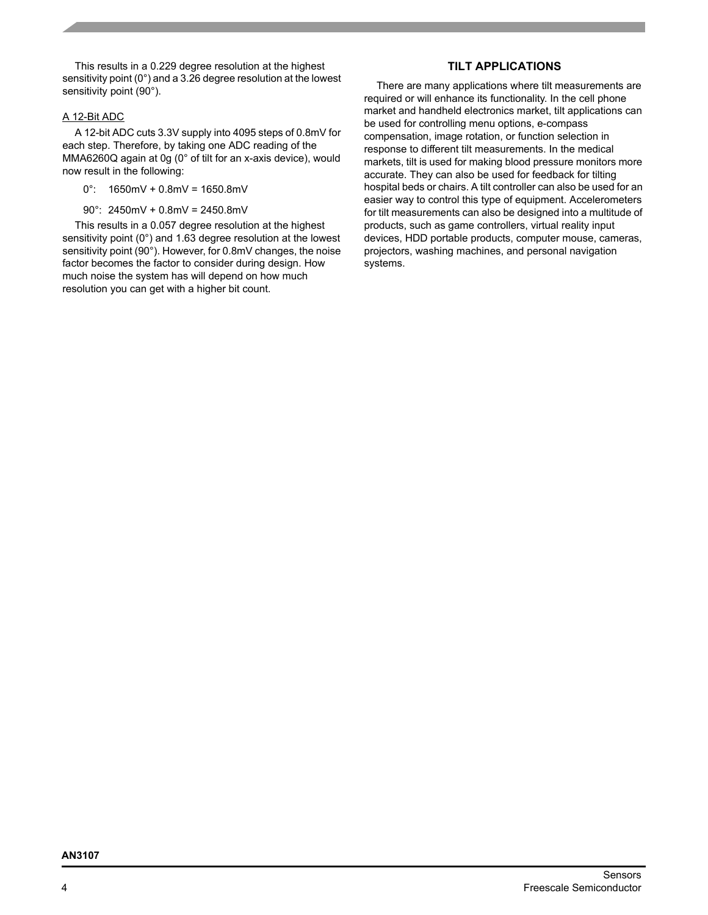This results in a 0.229 degree resolution at the highest sensitivity point (0°) and a 3.26 degree resolution at the lowest sensitivity point (90°).

#### A 12-Bit ADC

A 12-bit ADC cuts 3.3V supply into 4095 steps of 0.8mV for each step. Therefore, by taking one ADC reading of the MMA6260Q again at 0g (0° of tilt for an x-axis device), would now result in the following:

- $0^{\circ}$ : 1650mV + 0.8mV = 1650.8mV
- 90°: 2450mV + 0.8mV = 2450.8mV

This results in a 0.057 degree resolution at the highest sensitivity point (0°) and 1.63 degree resolution at the lowest sensitivity point (90°). However, for 0.8mV changes, the noise factor becomes the factor to consider during design. How much noise the system has will depend on how much resolution you can get with a higher bit count.

# **TILT APPLICATIONS**

There are many applications where tilt measurements are required or will enhance its functionality. In the cell phone market and handheld electronics market, tilt applications can be used for controlling menu options, e-compass compensation, image rotation, or function selection in response to different tilt measurements. In the medical markets, tilt is used for making blood pressure monitors more accurate. They can also be used for feedback for tilting hospital beds or chairs. A tilt controller can also be used for an easier way to control this type of equipment. Accelerometers for tilt measurements can also be designed into a multitude of products, such as game controllers, virtual reality input devices, HDD portable products, computer mouse, cameras, projectors, washing machines, and personal navigation systems.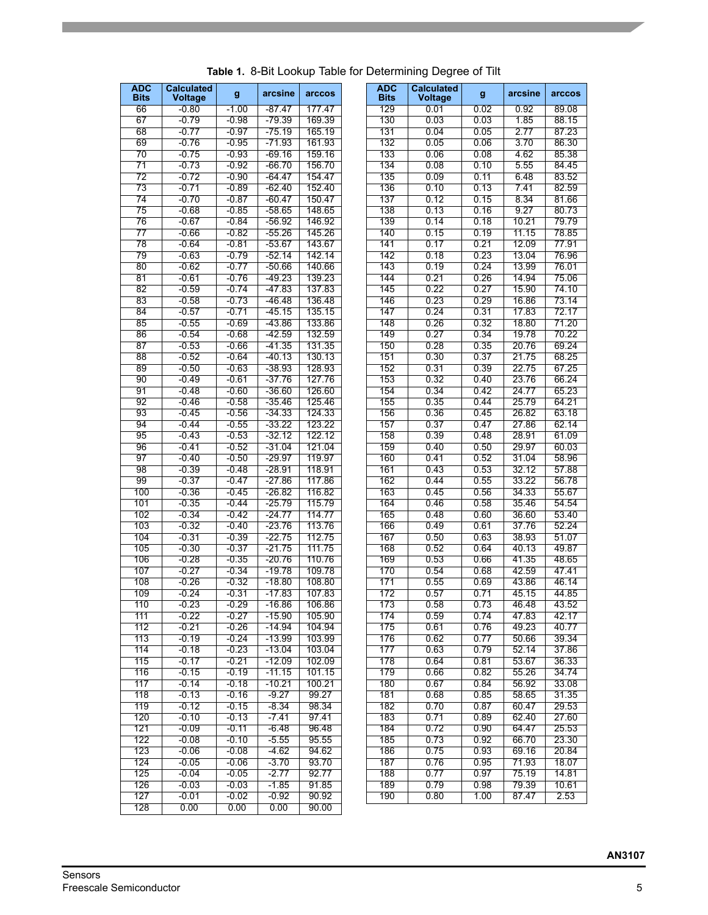<span id="page-4-0"></span>

|                           |                                     |         |          |        |                           | <b>READY TO DIT LOOKED TODIO TOT DOCUMENTING DOGLOO OF THE</b> |      |         |                |
|---------------------------|-------------------------------------|---------|----------|--------|---------------------------|----------------------------------------------------------------|------|---------|----------------|
| <b>ADC</b><br><b>Bits</b> | <b>Calculated</b><br><b>Voltage</b> | g       | arcsine  | arccos | <b>ADC</b><br><b>Bits</b> | <b>Calculated</b><br><b>Voltage</b>                            | g    | arcsine | arcco          |
| 66                        | $-0.80$                             | $-1.00$ | $-87.47$ | 177.47 | 129                       | 0.01                                                           | 0.02 | 0.92    | 89.08          |
| 67                        | -0.79                               | -0.98   | -79.39   | 169.39 | 130                       | 0.03                                                           | 0.03 | 1.85    | 88.1           |
| 68                        | $-0.77$                             | $-0.97$ | $-75.19$ | 165.19 | 131                       | 0.04                                                           | 0.05 | 2.77    | 87.23          |
| 69                        | $-0.76$                             | $-0.95$ | $-71.93$ | 161.93 | 132                       | 0.05                                                           | 0.06 | 3.70    | 86.30          |
| 70                        | $-0.75$                             | $-0.93$ | $-69.16$ | 159.16 | 133                       | 0.06                                                           | 0.08 | 4.62    | 85.38          |
| 71                        | $-0.73$                             | -0.92   | $-66.70$ | 156.70 | 134                       | 0.08                                                           | 0.10 | 5.55    | 84.4           |
| 72                        | $-0.72$                             | $-0.90$ | $-64.47$ | 154.47 | 135                       | 0.09                                                           | 0.11 | 6.48    | 83.52          |
| 73                        | $-0.71$                             | $-0.89$ | $-62.40$ | 152.40 | 136                       | 0.10                                                           | 0.13 | 7.41    | 82.5           |
| 74                        | $-0.70$                             | $-0.87$ | $-60.47$ | 150.47 | 137                       | 0.12                                                           | 0.15 | 8.34    | 81.66          |
| 75                        | $-0.68$                             | $-0.85$ | $-58.65$ | 148.65 | 138                       | 0.13                                                           | 0.16 | 9.27    | 80.73          |
| 76                        | $-0.67$                             | $-0.84$ | $-56.92$ | 146.92 | 139                       | 0.14                                                           | 0.18 | 10.21   | 79.79          |
| 77                        |                                     |         | $-55.26$ |        |                           |                                                                | 0.19 | 11.15   | 78.85          |
|                           | $-0.66$                             | $-0.82$ |          | 145.26 | 140                       | 0.15                                                           |      |         |                |
| 78                        | $-0.64$                             | $-0.81$ | $-53.67$ | 143.67 | 141                       | 0.17                                                           | 0.21 | 12.09   | $77.9^{\circ}$ |
| 79                        | $-0.63$                             | $-0.79$ | $-52.14$ | 142.14 | 142                       | 0.18                                                           | 0.23 | 13.04   | 76.96          |
| 80                        | $-0.62$                             | $-0.77$ | $-50.66$ | 140.66 | 143                       | 0.19                                                           | 0.24 | 13.99   | $76.0^{\circ}$ |
| 81                        | $-0.61$                             | $-0.76$ | $-49.23$ | 139.23 | 144                       | 0.21                                                           | 0.26 | 14.94   | 75.0           |
| 82                        | $-0.59$                             | $-0.74$ | $-47.83$ | 137.83 | 145                       | 0.22                                                           | 0.27 | 15.90   | 74.10          |
| 83                        | $-0.58$                             | $-0.73$ | $-46.48$ | 136.48 | 146                       | 0.23                                                           | 0.29 | 16.86   | 73.14          |
| 84                        | $-0.57$                             | $-0.71$ | $-45.15$ | 135.15 | 147                       | 0.24                                                           | 0.31 | 17.83   | 72.1           |
| 85                        | $-0.55$                             | $-0.69$ | $-43.86$ | 133.86 | 148                       | 0.26                                                           | 0.32 | 18.80   | 71.20          |
| 86                        | $-0.54$                             | $-0.68$ | $-42.59$ | 132.59 | 149                       | 0.27                                                           | 0.34 | 19.78   | 70.22          |
| 87                        | $-0.53$                             | $-0.66$ | $-41.35$ | 131.35 | 150                       | 0.28                                                           | 0.35 | 20.76   | 69.24          |
| 88                        | $-0.52$                             | $-0.64$ | $-40.13$ | 130.13 | 151                       | 0.30                                                           | 0.37 | 21.75   | 68.2           |
| 89                        | $-0.50$                             | $-0.63$ | $-38.93$ | 128.93 | 152                       | 0.31                                                           | 0.39 | 22.75   | 67.25          |
| 90                        | $-0.49$                             | $-0.61$ | $-37.76$ | 127.76 | 153                       | 0.32                                                           | 0.40 | 23.76   | 66.24          |
| 91                        | $-0.48$                             | $-0.60$ | $-36.60$ | 126.60 | 154                       | 0.34                                                           | 0.42 | 24.77   | 65.23          |
| 92                        | $-0.46$                             | $-0.58$ | $-35.46$ | 125.46 | 155                       | 0.35                                                           | 0.44 | 25.79   | $64.2^{\circ}$ |
| 93                        | $-0.45$                             | $-0.56$ | $-34.33$ | 124.33 | 156                       | 0.36                                                           | 0.45 | 26.82   | 63.18          |
| 94                        | $-0.44$                             | $-0.55$ | $-33.22$ | 123.22 | 157                       | 0.37                                                           | 0.47 | 27.86   | 62.14          |
| 95                        | $-0.43$                             | $-0.53$ | $-32.12$ | 122.12 | 158                       | 0.39                                                           | 0.48 | 28.91   | 61.09          |
| 96                        | $-0.41$                             | $-0.52$ | $-31.04$ | 121.04 | 159                       | 0.40                                                           | 0.50 | 29.97   | 60.03          |
| 97                        | $-0.40$                             |         | $-29.97$ | 119.97 | 160                       | 0.41                                                           | 0.52 | 31.04   | 58.96          |
|                           |                                     | $-0.50$ |          |        |                           |                                                                |      |         |                |
| 98                        | $-0.39$                             | $-0.48$ | $-28.91$ | 118.91 | 161                       | 0.43                                                           | 0.53 | 32.12   | 57.88          |
| 99                        | $-0.37$                             | $-0.47$ | $-27.86$ | 117.86 | 162                       | 0.44                                                           | 0.55 | 33.22   | 56.78          |
| 100                       | $-0.36$                             | $-0.45$ | $-26.82$ | 116.82 | 163                       | 0.45                                                           | 0.56 | 34.33   | 55.67          |
| 101                       | $-0.35$                             | $-0.44$ | $-25.79$ | 115.79 | 164                       | 0.46                                                           | 0.58 | 35.46   | 54.54          |
| 102                       | $-0.34$                             | $-0.42$ | $-24.77$ | 114.77 | 165                       | 0.48                                                           | 0.60 | 36.60   | 53.40          |
| 103                       | $-0.32$                             | $-0.40$ | $-23.76$ | 113.76 | 166                       | 0.49                                                           | 0.61 | 37.76   | 52.24          |
| 104                       | $-0.31$                             | $-0.39$ | $-22.75$ | 112.75 | 167                       | 0.50                                                           | 0.63 | 38.93   | 51.0           |
| 105                       | $-0.30$                             | $-0.37$ | $-21.75$ | 111.75 | 168                       | 0.52                                                           | 0.64 | 40.13   | 49.8           |
| 106                       | $-0.28$                             | $-0.35$ | $-20.76$ | 110.76 | 169                       | 0.53                                                           | 0.66 | 41.35   | 48.6           |
| 107                       | $-0.27$                             | $-0.34$ | $-19.78$ | 109.78 | 170                       | 0.54                                                           | 0.68 | 42.59   | $47.4^{\circ}$ |
| 108                       | $-0.26$                             | $-0.32$ | $-18.80$ | 108.80 | 171                       | 0.55                                                           | 0.69 | 43.86   | 46.14          |
| 109                       | $-0.24$                             | -0.31   | -17.83   | 107.83 | 172.                      | U.57                                                           | 0.71 | 45.15   | 44.8           |
| 110                       | $-0.23$                             | $-0.29$ | $-16.86$ | 106.86 | 173                       | 0.58                                                           | 0.73 | 46.48   | 43.52          |
| 111                       | $-0.22$                             | $-0.27$ | $-15.90$ | 105.90 | 174                       | 0.59                                                           | 0.74 | 47.83   | 42.1           |
| 112                       | $-0.21$                             | $-0.26$ | $-14.94$ | 104.94 | 175                       | 0.61                                                           | 0.76 | 49.23   | 40.77          |
| 113                       | $-0.19$                             | $-0.24$ | $-13.99$ | 103.99 | 176                       | 0.62                                                           | 0.77 | 50.66   | 39.34          |
| 114                       | $-0.18$                             | $-0.23$ | $-13.04$ | 103.04 | 177                       | 0.63                                                           | 0.79 | 52.14   | 37.86          |
| 115                       | $-0.17$                             | $-0.21$ | $-12.09$ | 102.09 | 178                       | 0.64                                                           | 0.81 | 53.67   | 36.33          |
| 116                       | $-0.15$                             | $-0.19$ | $-11.15$ | 101.15 | 179                       | 0.66                                                           | 0.82 | 55.26   | 34.74          |
| 117                       | $-0.14$                             | $-0.18$ | $-10.21$ | 100.21 | 180                       | 0.67                                                           | 0.84 | 56.92   | 33.08          |
| 118                       | $-0.13$                             | $-0.16$ | $-9.27$  | 99.27  | 181                       | 0.68                                                           | 0.85 | 58.65   | 31.35          |
| 119                       | $-0.12$                             | $-0.15$ | -8.34    | 98.34  | 182                       | 0.70                                                           | 0.87 | 60.47   | 29.53          |
| 120                       | $-0.10$                             | $-0.13$ | $-7.41$  | 97.41  | 183                       | 0.71                                                           | 0.89 | 62.40   | 27.60          |
| 121                       | $-0.09$                             | $-0.11$ | $-6.48$  | 96.48  | 184                       | 0.72                                                           | 0.90 | 64.47   | 25.53          |
| 122                       |                                     |         |          |        |                           |                                                                |      |         |                |
|                           | $-0.08$                             | $-0.10$ | $-5.55$  | 95.55  | 185                       | 0.73                                                           | 0.92 | 66.70   | 23.30          |
| 123                       | $-0.06$                             | $-0.08$ | $-4.62$  | 94.62  | 186                       | 0.75                                                           | 0.93 | 69.16   | 20.84          |
| 124                       | $-0.05$                             | $-0.06$ | $-3.70$  | 93.70  | 187                       | 0.76                                                           | 0.95 | 71.93   | 18.07          |
| 125                       | $-0.04$                             | $-0.05$ | -2.77    | 92.77  | 188                       | 0.77                                                           | 0.97 | 75.19   | $14.8^{\circ}$ |
| 126                       | $-0.03$                             | $-0.03$ | $-1.85$  | 91.85  | 189                       | 0.79                                                           | 0.98 | 79.39   | $10.6^{\circ}$ |
| 127                       | $-0.01$                             | $-0.02$ | $-0.92$  | 90.92  | 190                       | 0.80                                                           | 1.00 | 87.47   | 2.53           |
| 128                       | 0.00                                | 0.00    | 0.00     | 90.00  |                           |                                                                |      |         |                |

| Table 1. 8-Bit Lookup Table for Determining Degree of Tilt |  |  |  |  |  |  |
|------------------------------------------------------------|--|--|--|--|--|--|
|------------------------------------------------------------|--|--|--|--|--|--|

| <b>ADC</b><br>Bits | <b>Calculated</b><br><b>Voltage</b> | g               | arcsine         | arccos           | <b>ADC</b><br><b>Bits</b> | <b>Calculated</b><br>Voltage | $\boldsymbol{g}$ | arcsine | arccos |
|--------------------|-------------------------------------|-----------------|-----------------|------------------|---------------------------|------------------------------|------------------|---------|--------|
| 66                 | $-0.80$                             | $-1.00$         | $-87.47$        | 177.47           | 129                       | 0.01                         | 0.02             | 0.92    | 89.08  |
| 67                 | -0.79                               | $-0.98$         | -79.39          | 169.39           | 130                       | 0.03                         | 0.03             | 1.85    | 88.15  |
| 68                 | $-0.77$                             | $-0.97$         | $-75.19$        | 165.19           | 131                       | 0.04                         | 0.05             | 2.77    | 87.23  |
| 69                 | -0.76                               | -0.95           | -71.93          | 161.93           | 132                       | 0.05                         | 0.06             | 3.70    | 86.30  |
| 70                 | $-0.75$                             | $-0.93$         | $-69.16$        | 159.16           | 133                       | 0.06                         | 0.08             | 4.62    | 85.38  |
| 71                 | -0.73                               | $-0.92$         | -66.70          | 156.70           | 134                       | 0.08                         | 0.10             | 5.55    | 84.45  |
| 72                 | $-0.72$                             | $-0.90$         | $-64.47$        | 154.47           | 135                       | 0.09                         | 0.11             | 6.48    | 83.52  |
| 73                 | $-0.71$                             | $-0.89$         | $-62.40$        | 152.40           | 136                       | 0.10                         | 0.13             | 7.41    | 82.59  |
| 74                 | $-0.70$                             | $-0.87$         | $-60.47$        | 150.47           | 137                       | 0.12                         | 0.15             | 8.34    | 81.66  |
|                    | $-0.68$                             | $-0.85$         | $-58.65$        |                  | 138                       | 0.13                         | 0.16             | 9.27    | 80.73  |
| 75<br>76           | $-0.67$                             | $-0.84$         | $-56.92$        | 148.65<br>146.92 | 139                       | 0.14                         | 0.18             |         | 79.79  |
|                    |                                     |                 |                 |                  |                           |                              |                  | 10.21   |        |
| 77                 | $-0.66$                             | $-0.82$         | $-55.26$        | 145.26<br>143.67 | 140                       | 0.15                         | 0.19             | 11.15   | 78.85  |
| 78                 | $-0.64$                             | $-0.81$         | $-53.67$        |                  | 141                       | 0.17                         | 0.21             | 12.09   | 77.91  |
| 79                 | $-0.63$                             | $-0.79$         | -52.14          | 142.14           | 142                       | 0.18                         | 0.23             | 13.04   | 76.96  |
| 80                 | $-0.62$                             | $-0.77$         | $-50.66$        | 140.66           | 143                       | 0.19                         | 0.24             | 13.99   | 76.01  |
| 81                 | $-0.61$                             | $-0.76$         | -49.23          | 139.23           | 144                       | 0.21                         | 0.26             | 14.94   | 75.06  |
| 82                 | $-0.59$                             | $-0.74$         | -47.83          | 137.83           | 145                       | 0.22                         | 0.27             | 15.90   | 74.10  |
| 83                 | $-0.58$                             | $-0.73$         | -46.48          | 136.48           | 146                       | 0.23                         | 0.29             | 16.86   | 73.14  |
| 84                 | $-0.57$                             | $-0.71$         | $-45.15$        | 135.15           | 147                       | 0.24                         | 0.31             | 17.83   | 72.17  |
| 85                 | $-0.55$                             | $-0.69$         | $-43.86$        | 133.86           | 148                       | 0.26                         | 0.32             | 18.80   | 71.20  |
| 86                 | $-0.54$                             | $-0.68$         | $-42.59$        | 132.59           | 149                       | 0.27                         | 0.34             | 19.78   | 70.22  |
| 87                 | $-0.53$                             | $-0.66$         | $-41.35$        | 131.35           | 150                       | 0.28                         | 0.35             | 20.76   | 69.24  |
| 88                 | $-0.52$                             | $-0.64$         | $-40.13$        | 130.13           | 151                       | 0.30                         | 0.37             | 21.75   | 68.25  |
| 89                 | $-0.50$                             | $-0.63$         | $-38.93$        | 128.93           | 152                       | 0.31                         | 0.39             | 22.75   | 67.25  |
| 90                 | $-0.49$                             | $-0.61$         | $-37.76$        | 127.76           | 153                       | 0.32                         | 0.40             | 23.76   | 66.24  |
| 91                 | $-0.48$                             | $-0.60$         | $-36.60$        | 126.60           | 154                       | 0.34                         | 0.42             | 24.77   | 65.23  |
| 92                 | $-0.46$                             | $-0.58$         | $-35.46$        | 125.46           | 155                       | 0.35                         | 0.44             | 25.79   | 64.21  |
| 93                 | $-0.45$                             | $-0.56$         | $-34.33$        | 124.33           | 156                       | 0.36                         | 0.45             | 26.82   | 63.18  |
| 94                 | $-0.44$                             | $-0.55$         | $-33.22$        | 123.22           | 157                       | 0.37                         | 0.47             | 27.86   | 62.14  |
| 95                 | $-0.43$                             | $-0.53$         | -32.12          | 122.12           | 158                       | 0.39                         | 0.48             | 28.91   | 61.09  |
| 96                 | $-0.41$                             | $-0.52$         | $-31.04$        | 121.04           | 159                       | 0.40                         | 0.50             | 29.97   | 60.03  |
| 97                 | $-0.40$                             | $-0.50$         | $-29.97$        | 119.97           | 160                       | 0.41                         | 0.52             | 31.04   | 58.96  |
| 98                 | $-0.39$                             | $-0.48$         | $-28.91$        | 118.91           | 161                       | 0.43                         | 0.53             | 32.12   | 57.88  |
| 99                 | $-0.37$                             | $-0.47$         | $-27.86$        | 117.86           | 162                       | 0.44                         | 0.55             | 33.22   | 56.78  |
| 100                | $-0.36$                             | $-0.45$         | $-26.82$        | 116.82           | 163                       | 0.45                         | 0.56             | 34.33   | 55.67  |
| 101                | $-0.35$                             | $-0.44$         | $-25.79$        | 115.79           | 164                       | 0.46                         | 0.58             | 35.46   | 54.54  |
| 102                | $-0.34$                             | $-0.42$         | $-24.77$        | 114.77           | 165                       | 0.48                         | 0.60             | 36.60   | 53.40  |
| 103                | $-0.32$                             | $-0.40$         | $-23.76$        | 113.76           | 166                       | 0.49                         | 0.61             | 37.76   | 52.24  |
| 104                | $-0.31$                             | $-0.39$         | $-22.75$        | 112.75           | 167                       | 0.50                         | 0.63             | 38.93   | 51.07  |
| 105                | $-0.30$                             | $-0.37$         | $-21.75$        | 111.75           | 168                       | 0.52                         | 0.64             | 40.13   | 49.87  |
| 106                | $-0.28$                             | $-0.35$         | $-20.76$        | 110.76           | 169                       | 0.53                         | 0.66             | 41.35   | 48.65  |
| 107                | $-0.27$                             | $-0.34$         | $-19.78$        | 109.78           | 170                       | 0.54                         | 0.68             | 42.59   | 47.41  |
| 108                | $-0.26$                             | $-0.32$         | $-18.80$        | 108.80           | 171                       | 0.55                         | 0.69             | 43.86   | 46.14  |
| 109                | -0.24                               | $-0.31$         | $-17.83$        | 107.83           | 172                       | 0.57                         | 0.71             | 45.15   | 44.85  |
| 110                | $-0.23$                             | $-0.29$         | $-16.86$        | 106.86           | 173                       | 0.58                         | 0.73             | 46.48   | 43.52  |
| 111                | $-0.22$                             | $-0.27$         | $-15.90$        | 105.90           | 174                       | 0.59                         | 0.74             | 47.83   | 42.17  |
| 112                | $-0.21$                             | $-0.26$         | $-14.94$        | 104.94           | 175                       | 0.61                         | 0.76             | 49.23   | 40.77  |
| 113                | $-0.19$                             | $-0.24$         | $-13.99$        | 103.99           | 176                       | 0.62                         | 0.77             | 50.66   | 39.34  |
| 114                | $-0.18$                             | $-0.23$         | $-13.04$        | 103.04           | 177                       | 0.63                         | 0.79             | 52.14   | 37.86  |
| 115                | $-0.17$                             | $-0.21$         | $-12.09$        | 102.09           | 178                       | 0.64                         | 0.81             | 53.67   | 36.33  |
| 116                | $-0.15$                             | $-0.19$         | $-11.15$        | 101.15           | 179                       | 0.66                         | 0.82             | 55.26   | 34.74  |
| 117                | $-0.14$                             | $-0.18$         | $-10.21$        | 100.21           | 180                       | 0.67                         | 0.84             | 56.92   | 33.08  |
| 118                | $-0.13$                             | $-0.16$         | $-9.27$         | 99.27            | 181                       | 0.68                         | 0.85             | 58.65   | 31.35  |
| 119                | $-0.12$                             | $-0.15$         | $-8.34$         | 98.34            | 182                       | 0.70                         | 0.87             | 60.47   | 29.53  |
| 120                | $-0.10$                             | $-0.13$         | $-7.41$         | 97.41            | 183                       | 0.71                         | 0.89             | 62.40   | 27.60  |
| 121                | $-0.09$                             | -0.11           | $-6.48$         | 96.48            | 184                       | 0.72                         | 0.90             | 64.47   | 25.53  |
| 122                | $-0.08$                             | $-0.10$         | $-5.55$         | 95.55            | 185                       | 0.73                         | 0.92             | 66.70   | 23.30  |
| 123                | $-0.06$                             | $-0.08$         | $-4.62$         | 94.62            | 186                       | 0.75                         | 0.93             | 69.16   | 20.84  |
| 124                | $-0.05$                             | $-0.06$         | $-3.70$         | 93.70            | 187                       | 0.76                         | 0.95             | 71.93   | 18.07  |
| 125                | $-0.04$                             | $-0.05$         | $-2.77$         | 92.77            | 188                       | 0.77                         | 0.97             | 75.19   | 14.81  |
| 126                | $-0.03$                             | $-0.03$         | $-1.85$         | 91.85            | 189                       | 0.79                         | 0.98             | 79.39   | 10.61  |
|                    |                                     |                 |                 |                  | 190                       |                              |                  |         |        |
| 127<br>128         | $-0.01$<br>n uu                     | $-0.02$<br>n uu | $-0.92$<br>0.00 | 90.92<br>90.00   |                           | 0.80                         | 1.00             | 87.47   | 2.53   |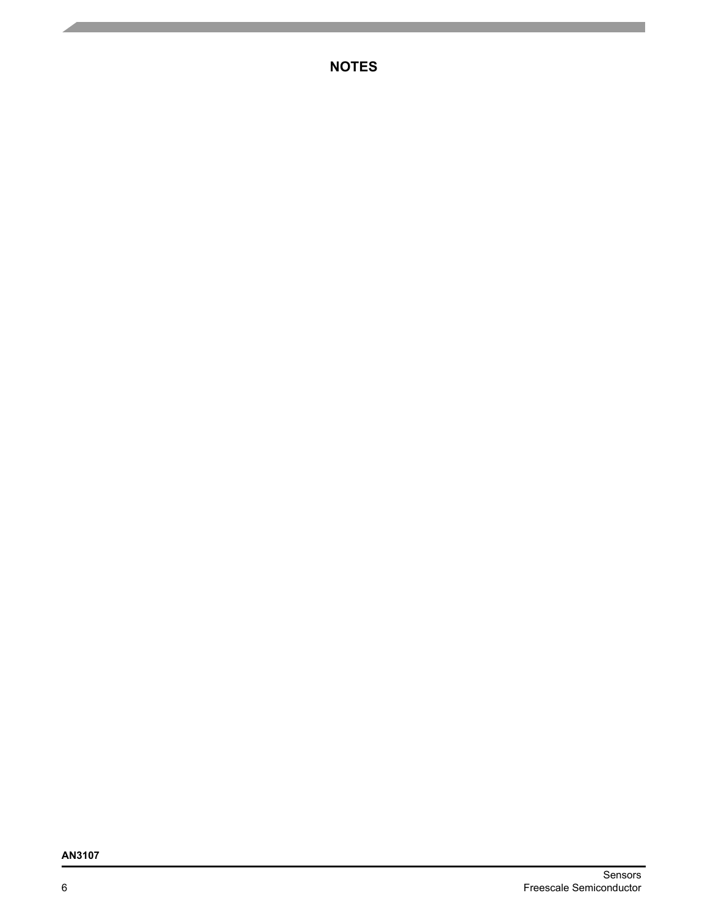**NOTES**

# **AN3107**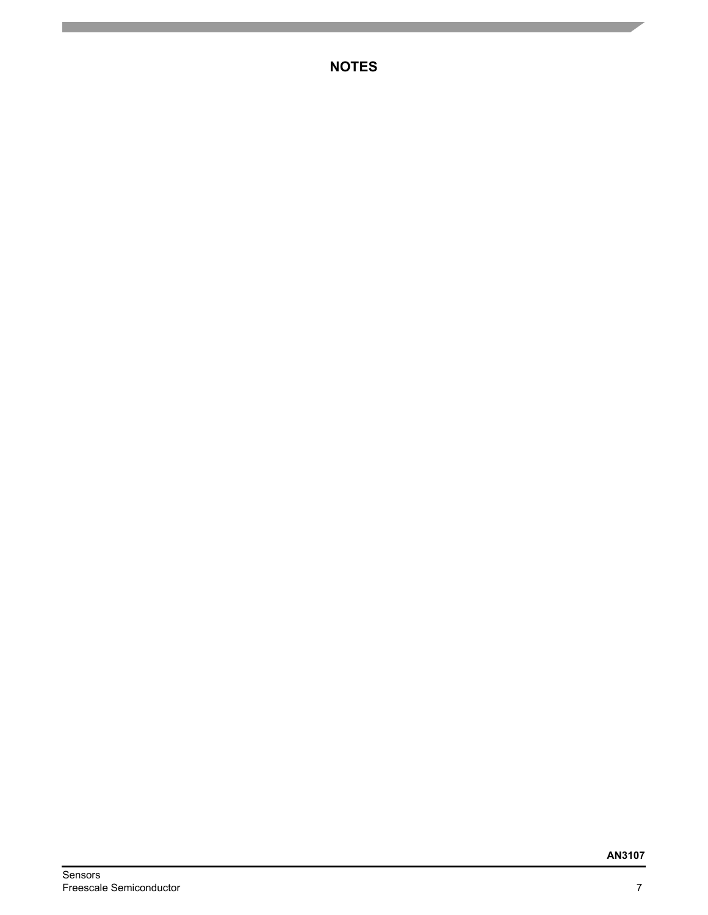**NOTES**